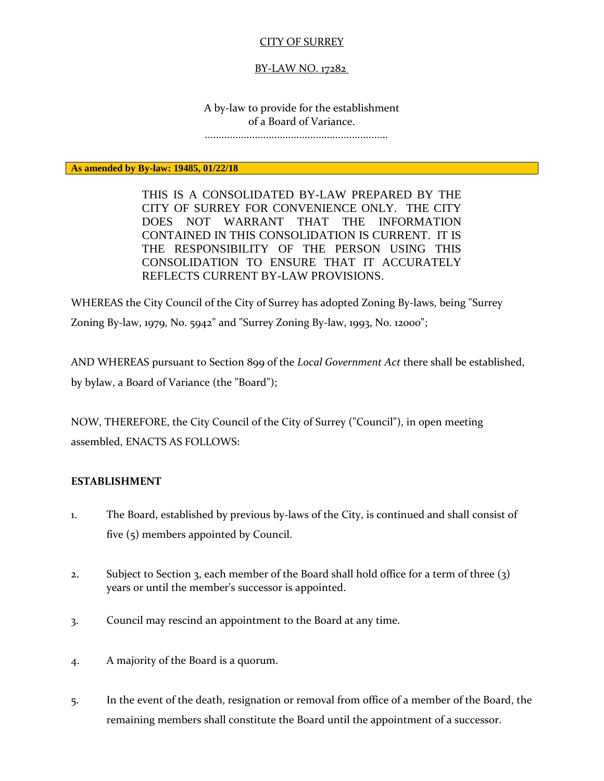# CITY OF SURREY

#### BY-LAW NO. 17282

A by-law to provide for the establishment of a Board of Variance.

..................................................................

**As amended by By-law: 19485, 01/22/18**

THIS IS A CONSOLIDATED BY-LAW PREPARED BY THE CITY OF SURREY FOR CONVENIENCE ONLY. THE CITY DOES NOT WARRANT THAT THE INFORMATION CONTAINED IN THIS CONSOLIDATION IS CURRENT. IT IS THE RESPONSIBILITY OF THE PERSON USING THIS CONSOLIDATION TO ENSURE THAT IT ACCURATELY REFLECTS CURRENT BY-LAW PROVISIONS.

WHEREAS the City Council of the City of Surrey has adopted Zoning By-laws, being "Surrey Zoning By-law, 1979, No. 5942" and "Surrey Zoning By-law, 1993, No. 12000";

AND WHEREAS pursuant to Section 899 of the *Local Government Act* there shall be established, by bylaw, a Board of Variance (the "Board");

NOW, THEREFORE, the City Council of the City of Surrey ("Council"), in open meeting assembled, ENACTS AS FOLLOWS:

#### **ESTABLISHMENT**

- 1. The Board, established by previous by-laws of the City, is continued and shall consist of five (5) members appointed by Council.
- 2. Subject to Section 3, each member of the Board shall hold office for a term of three (3) years or until the member's successor is appointed.
- 3. Council may rescind an appointment to the Board at any time.
- 4. A majority of the Board is a quorum.
- 5. In the event of the death, resignation or removal from office of a member of the Board, the remaining members shall constitute the Board until the appointment of a successor.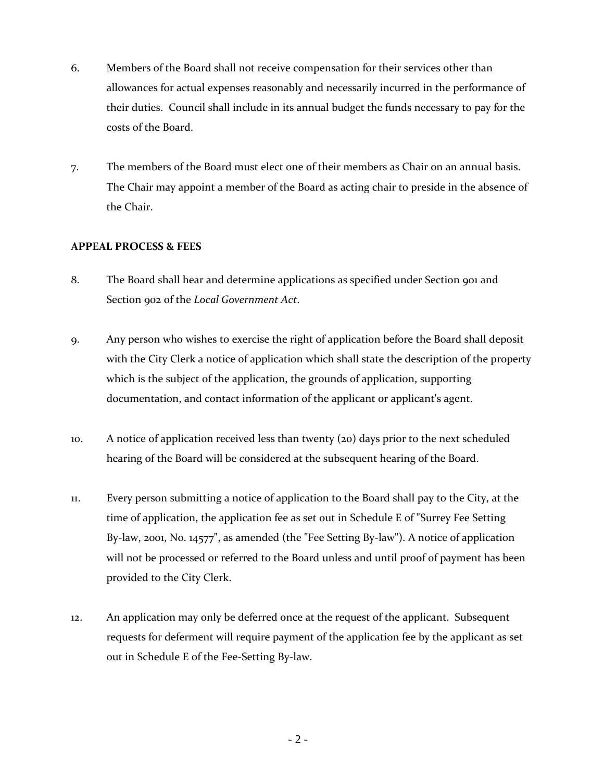- 6. Members of the Board shall not receive compensation for their services other than allowances for actual expenses reasonably and necessarily incurred in the performance of their duties. Council shall include in its annual budget the funds necessary to pay for the costs of the Board.
- 7. The members of the Board must elect one of their members as Chair on an annual basis. The Chair may appoint a member of the Board as acting chair to preside in the absence of the Chair.

# **APPEAL PROCESS & FEES**

- 8. The Board shall hear and determine applications as specified under Section 901 and Section 902 of the *Local Government Act*.
- 9. Any person who wishes to exercise the right of application before the Board shall deposit with the City Clerk a notice of application which shall state the description of the property which is the subject of the application, the grounds of application, supporting documentation, and contact information of the applicant or applicant's agent.
- 10. A notice of application received less than twenty (20) days prior to the next scheduled hearing of the Board will be considered at the subsequent hearing of the Board.
- 11. Every person submitting a notice of application to the Board shall pay to the City, at the time of application, the application fee as set out in Schedule E of "Surrey Fee Setting By-law, 2001, No. 14577", as amended (the "Fee Setting By-law"). A notice of application will not be processed or referred to the Board unless and until proof of payment has been provided to the City Clerk.
- 12. An application may only be deferred once at the request of the applicant. Subsequent requests for deferment will require payment of the application fee by the applicant as set out in Schedule E of the Fee-Setting By-law.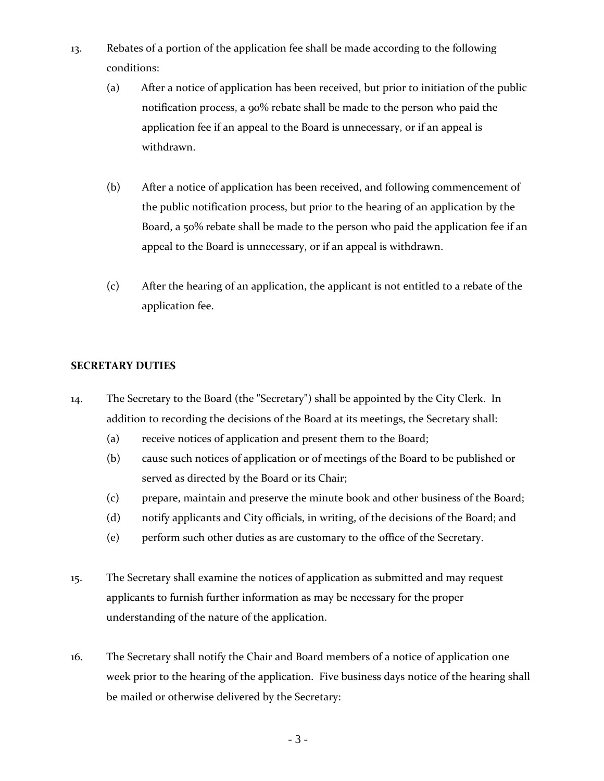- 13. Rebates of a portion of the application fee shall be made according to the following conditions:
	- (a) After a notice of application has been received, but prior to initiation of the public notification process, a 90% rebate shall be made to the person who paid the application fee if an appeal to the Board is unnecessary, or if an appeal is withdrawn.
	- (b) After a notice of application has been received, and following commencement of the public notification process, but prior to the hearing of an application by the Board, a 50% rebate shall be made to the person who paid the application fee if an appeal to the Board is unnecessary, or if an appeal is withdrawn.
	- (c) After the hearing of an application, the applicant is not entitled to a rebate of the application fee.

# **SECRETARY DUTIES**

- 14. The Secretary to the Board (the "Secretary") shall be appointed by the City Clerk. In addition to recording the decisions of the Board at its meetings, the Secretary shall:
	- (a) receive notices of application and present them to the Board;
	- (b) cause such notices of application or of meetings of the Board to be published or served as directed by the Board or its Chair;
	- (c) prepare, maintain and preserve the minute book and other business of the Board;
	- (d) notify applicants and City officials, in writing, of the decisions of the Board; and
	- (e) perform such other duties as are customary to the office of the Secretary.
- 15. The Secretary shall examine the notices of application as submitted and may request applicants to furnish further information as may be necessary for the proper understanding of the nature of the application.
- 16. The Secretary shall notify the Chair and Board members of a notice of application one week prior to the hearing of the application. Five business days notice of the hearing shall be mailed or otherwise delivered by the Secretary: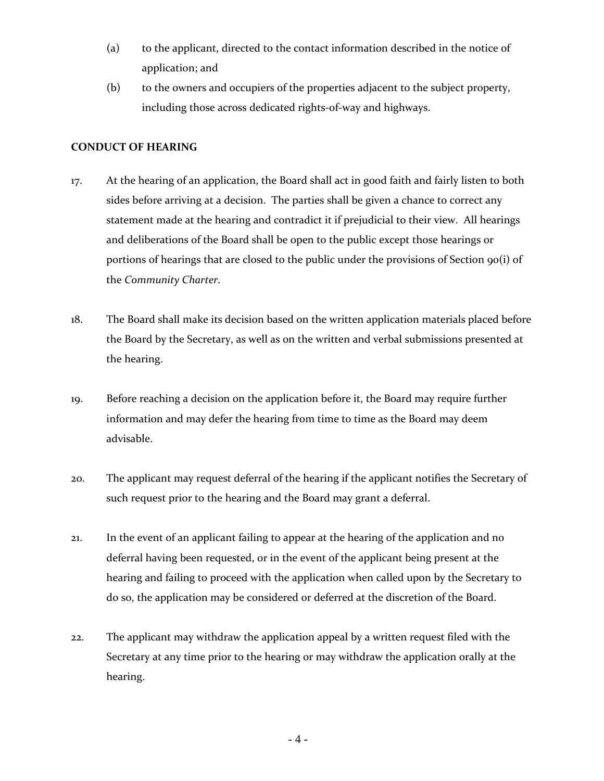- (a) to the applicant, directed to the contact information described in the notice of application; and
- (b) to the owners and occupiers of the properties adjacent to the subject property, including those across dedicated rights-of-way and highways.

## **CONDUCT OF HEARING**

- 17. At the hearing of an application, the Board shall act in good faith and fairly listen to both sides before arriving at a decision. The parties shall be given a chance to correct any statement made at the hearing and contradict it if prejudicial to their view. All hearings and deliberations of the Board shall be open to the public except those hearings or portions of hearings that are closed to the public under the provisions of Section 90(i) of the *Community Charter*.
- 18. The Board shall make its decision based on the written application materials placed before the Board by the Secretary, as well as on the written and verbal submissions presented at the hearing.
- 19. Before reaching a decision on the application before it, the Board may require further information and may defer the hearing from time to time as the Board may deem advisable.
- 20. The applicant may request deferral of the hearing if the applicant notifies the Secretary of such request prior to the hearing and the Board may grant a deferral.
- 21. In the event of an applicant failing to appear at the hearing of the application and no deferral having been requested, or in the event of the applicant being present at the hearing and failing to proceed with the application when called upon by the Secretary to do so, the application may be considered or deferred at the discretion of the Board.
- 22. The applicant may withdraw the application appeal by a written request filed with the Secretary at any time prior to the hearing or may withdraw the application orally at the hearing.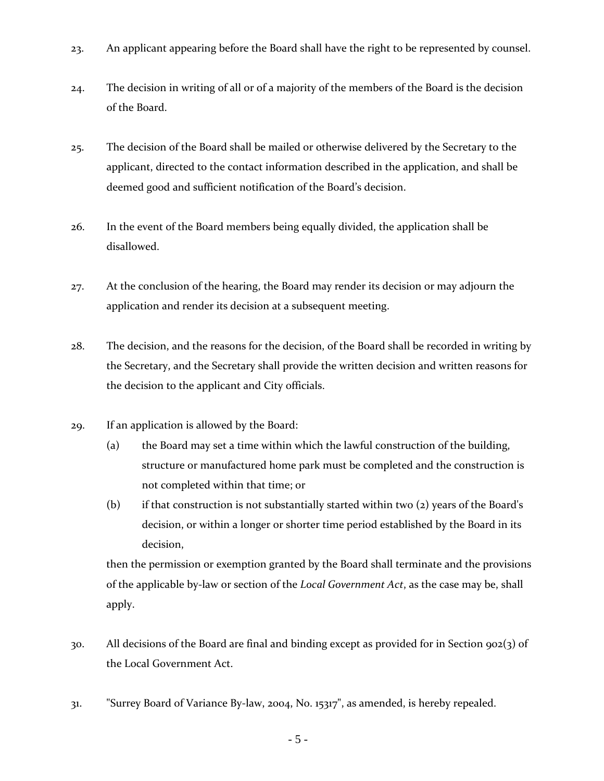- 23. An applicant appearing before the Board shall have the right to be represented by counsel.
- 24. The decision in writing of all or of a majority of the members of the Board is the decision of the Board.
- 25. The decision of the Board shall be mailed or otherwise delivered by the Secretary to the applicant, directed to the contact information described in the application, and shall be deemed good and sufficient notification of the Board's decision.
- 26. In the event of the Board members being equally divided, the application shall be disallowed.
- 27. At the conclusion of the hearing, the Board may render its decision or may adjourn the application and render its decision at a subsequent meeting.
- 28. The decision, and the reasons for the decision, of the Board shall be recorded in writing by the Secretary, and the Secretary shall provide the written decision and written reasons for the decision to the applicant and City officials.
- 29. If an application is allowed by the Board:
	- (a) the Board may set a time within which the lawful construction of the building, structure or manufactured home park must be completed and the construction is not completed within that time; or
	- (b) if that construction is not substantially started within two (2) years of the Board's decision, or within a longer or shorter time period established by the Board in its decision,

then the permission or exemption granted by the Board shall terminate and the provisions of the applicable by-law or section of the *Local Government Act*, as the case may be, shall apply.

- 30. All decisions of the Board are final and binding except as provided for in Section 902(3) of the Local Government Act.
- 31. "Surrey Board of Variance By-law, 2004, No. 15317", as amended, is hereby repealed.